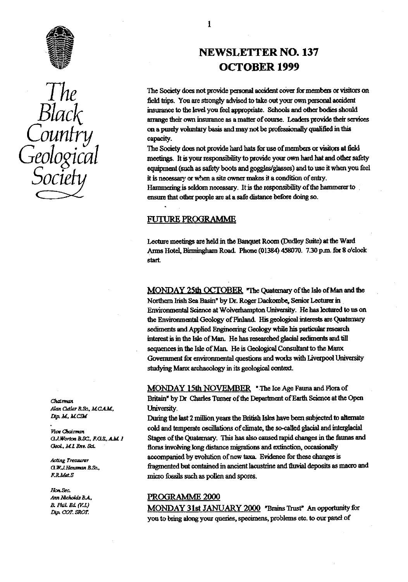



Atax *Qdkr B.&— MC M,* University.

Geol., M.I. Env. Sci.

*Ho c.*

# ^ NEWSLETTER NO. 137 OCTOBER 1999

The Society does not provide personal accident cover for members or visitors on field trips. You are strongly advised to take out your own personal accident insurance to the level you feel appropriate. Schools and other bodies should arrange their own insurance as a matter of course. Leaders provide their services<br>on a purely voluntary basis and may not be professionally qualified in this COUNTY on a purely voluntary basis and may not be professionally qualified in this<br>capacity. capacity.

The Society does not provide hard hats for use of members or visitors at field meetings. It is your responsibility to provide your own hard hat and other safety equipment (such as safety boots and goggles/glasses) and to use it when you feel *it* is necessary or when a site owner makes it a condition of entry. Hammering is seldom necessary. It is the responsibility of *the* hammerer to ensure that other people are at a safe distance before doing so.

#### **FUTURE PROGRAMME**

Lecture meetings are held in the Banquet Room (Dudley Suite) at the Ward Arms Hotel, Birmingham Road. Phone (01384) 458070. 7.30 p.m. for 8 o'clock start.

MONDAY 25th OCTOBER 'The Quatemary of the Isle of Man and the Northern Irish Sea Basin" by Dr. Roger Dackombe, Senior Lecturer in. Environmental Science at Wolverampton University. He has **lectured** to us on the Environmental Geology of Finland. His geological interests are Quaternary sediments and Applied Engineering Geology while his particular research interest is in the Isle of Man. He has researched glacial sediments and till sequences in the Isle of Man. He is Geological Consultant to the Manx Government for environmental questions and works with Liverpool University studying Manx archaeolog<sup>y</sup> in its geological contest.

MONDAY 15th NOVEMBER **The** Ice Age Fauna and Mora of Chairman<br>
chairman Britain" by Dr Charles Turner of the Department of Earth Science at the Open<br>
Alan Cutler B.Sc., M.C.A.M.

*Earning the last 2 million years the British Isles have been subjected to alternate* Chairman cold and temperate oscillations of climate, the so-called glacial and interglacial Vice Chairman aJ Wo,D& ass. *F aL..+* .0*<sup>1</sup>* **Stages** of the Quaternary. This has also caused rapid changes in the faunas and floras involving long distance migrations and extinction, occasionally Acting Treasurer accompanied by evolution of new taxa. Evidence for these changes is fragmented but contained in ancient lacustrine and tuvial deposits as macro and *G.W.J.Hensman B.Sc.*, *Pisagmented but contained in ancient lacteries.*<br>*P.R.Met.S P.R.Met.S Picagment* **contains the pollen and spores.** 

# Ann Nicholds B.A.,  $\begin{array}{r} \text{PROGRAMME } 2000 \\ \text{B. Phil. Ed. (V.L)} \end{array}$

B. Phil. Ed. (V.L) MONDAY 31st JANUARY 2000 "Brains Trust" An opportunity for *Dip.* COT. SROT. you to bring along your queries, specimens, problems etc. to our panel of

 $\mathbf{1}$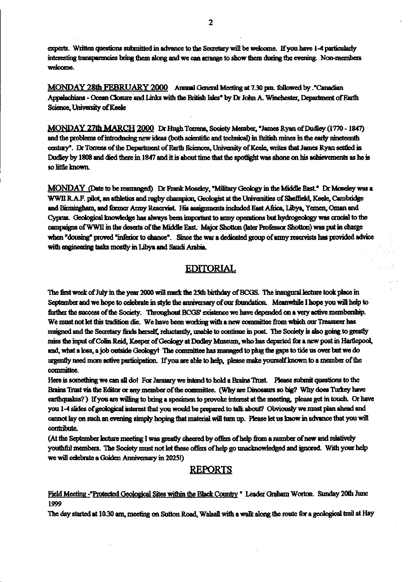experts. Written questions submitted in advance to the Secretary will be welcome. If you have 1-4 particularly interesting transparencies bring them along and we can arrange to show them during the evening. Non-members welcome.

MONDAY 28th FEBRUARY 2000 Annual General Meeting at 7.30 pm. followed by .\*Canadian Appalachians - Ocean Closure and Links with the British Isles" by Dr John A. Winchester, Department of Earth Science, University of Keele

MONDAY 27th MARCH 2000 Dr Hugh Torrens, Society Member, "James Ryan of Dudley (1770 - 1847) and the problems of introducing new ideas (both scientific and technical) in British mines in the early nineteenth century<sup>n</sup>. Dr Torrens of the Department of Earth Sciences, University of Keele, writes that James Ryan settled in Dudley by 1808 and died there in 1847 and it is about time that the spotlight was shone on his achievements as he is so little known.

MONDAY (Date to be rearranged) Dr Frank Moseley, "Military Geology in the Middle East." Dr Moseley was a WWII RAF. **jIlot** *an athletics* **and** rugby **champion, Geologist at** *the Universities of mod,* Keele, Cambridge and Birmingham, and former Army Reservist. His assignments included East Africa, Libya, Yemen, Oman and Cyprus. Geological knowledge has always been important to army operations bet hydrogeology was crucial to the campaigns of WWII in the deserts of the Middle East. Major Shotton (later Professor Shotton) was put in charge when "dour" proved "inferior to chance'. Since *the war a* dedicated group of army reservists **has provided advice with engineering tasks** mostly **in Libya and Saudi Arabia.**

#### **EDITORIAL**

The first week of July in the year 2000 will mark the 25th birthday of BCGS. The inaugural lecture took place in September and we hope to celebrate in style the anniversary of our foundation. Meanwhile I hope you will help to further the success of the Society. Throughout BCGS' existence we have depended on a very active membership. We must not let this tradition die. We have been working with a new committee from which our Treasurer has resigned and the Secretary finds herself, reluctantly, unable to continue in post. The Society is also going to greatly miss the input of Colin Reid, Keeper of Geology at Dudley Museum, who has departed for a new post in *Hartlepool*, and, what a loss, a job outside Geology! The committee has managed to plug the gaps to tide us over but we do urgently need more active participation. If you are able to help, please make yourself known to a member of the **committee.**

Here is something we can all do! For January we intend to hold a Brains Trust. Please submit questions to the Brains Trust via the Editor or any member of the committee. (Why are Dinosaurs so big? Why does Turkey have earthquakes?) If you are willing to bring a specimen to provoke interest at the meeting, please get in touch. Or have you 1-4 slides of geological interest that you would be prepared to talk about? Obviously we must plan ahead and cannot lay on such an evening simply hoping that material will turn up. Please let us know in advance that you will

contribute.<br>(At the September lecture meeting I was greatly cheered by offers of help from a number of new and relatively youthful members. The Society must not let these offers of help go unacknowledged and ignored. With your help **we will celebrate a Golden Anniversary in 20251)**

### **REPORTS**

Field Meeting -"Protected Geological Sites within the Black Country " Leader Graham Worton. Sunday 20th June **1999**

**The day started at 1030 gun, meeting on. Sutton Road, Walsall with a walk along the route for a geological trail at Hay**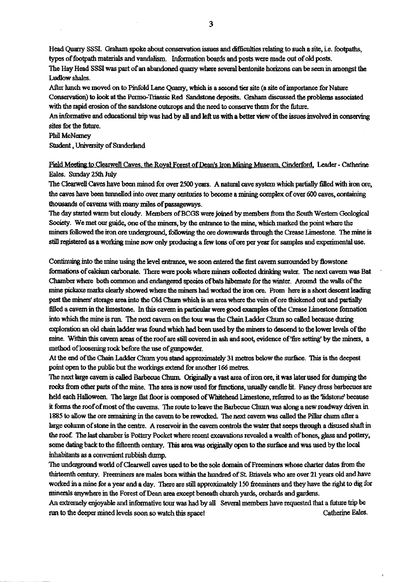Head Quarry SSSI. Graham spoke about conservation issues and difficulties relating to such a site, i.e. footpaths, types of footpath materials and vandalism. Information boards and posts were made out of old posts. The Hay Head SSSI was part of **an abandoned quarry** *where several* **bentonite horizons can be seen in amongst the** Ludlow shales.

After hunch we moved on to Pinfold Lane Quarry, which is a second her site (a site of importance for Nature Conservation) to look at *the* Penn-Triassic Red Sandstone *deposits. Graham* discussed the problems associated with the rapid erosion of the sandstone outcrops and the need to conserve them for *the future.*

An informative and educational trip was had by all and left us with a better view of the issues involved in conserving sites for the future.

#### Phil McNerney

*Student, University of* Sunderland

*Feld Meeker* to Clearwell Caves, the Royal Forest of Dean's Iron Mining Museum, Cinderford, Leader - Catherine Eales. Sunday 25th July

The Clearwell Caves have been mined for over 2500 years. A natural cave system which partially filled with iron ore, the eaves have been tunnelled into over many centuries to become a **mining** *complex of over 600 caves,* **containing** *thousands of caverns* with many **miles** of passageways.

The day started warm but cloudy. Members of BCGS were joined by members from the South Western Geological Society. We met our guide, one of the miners, by the entrance to the mine, which marked the point where the miners followed the iron ore underground, following the ore downwards through the Crease Limestone. The mine is still registered as a working mine now only producing a few tons of ore per year for samples and experimental use.

Continuing into the mine using the level entrance, we soon entered *the first* cavern surrounded by **flowstone formations of calcium carbonate. There** were pools where **miners collected drinking water.** The next cavern was Bat Chamber where both common and endangered species of bats hibernate for the winter. Around the walls of the mine pickaxe marks clearly showed where the miners had worked the iron ore. From here is a short descent leading past the miners' storage area into the Old Churn which is an area where the vein of ore thickened out and partially filled a cavern in the limestone, in this cavern in particular were good examples of the Crease Limestone formation into which the mine is run. The next cavern on the tour was the Chain Ladder Churn so called because during exploration an old chain ladder was found which bad been used by the miners to descend to the lower levels of the mine. Within this cavern areas of the roof are still covered in ash and soot, evidence of'fre setting by the miners, a method of loosening rock before the use of gunpowder.

At the and of the Chain Ladder *Chum you stand* approximately 31 metres below the surface. This is the deepest point open to the public but the workings extend for another 166 metres.

The next large cavern is called Barbecue Chum. Originally a vast area of iron ore, it was later used for dumping the rocks from other parts of the mine. The area is now used for functions, usually candle lit. Fancy dress barbecues are held each Halloween. The large flat floor is composed of Whitehead Limestone, referred to as the 'lidstone' because it forms the roof of most of the caverns. The route to leave the Barbecue Chun was along a new roadway driven in 1885 to allow the ore remaining in **the cavern** to be reworked. The next cavern was called **the Pillar chum** after a large column of stone in the centre. A reservoir in the cavern controls the water that seeps through a disused shaft in the roof The last chamber is Pottery Pocket where recent excavations revealed a wealth of bones, glass and pottery, some dating back to the fifteenth century. This area was originally open to the surface and was used by the local inhabitants as a convenient rubbish dump.

The underground world of Clearwell caves used to be the sole domain of Freemmeas whose charter dates from the thirteenth century. Freeminers are males born within the hundred of St. Briavels who are over 21 years old and have worked in a mine for a year and a day. There are still approximately 150 freeminers and they have the right to dig for minerals anywhere in the Forest of Dean area except beneath church yards, orchards and gardens.

An extremely enjoyable and informative tour was had by all Several members have requested that a future trip be run to the deeper mined levels soon so watch this space! Catherine Eales.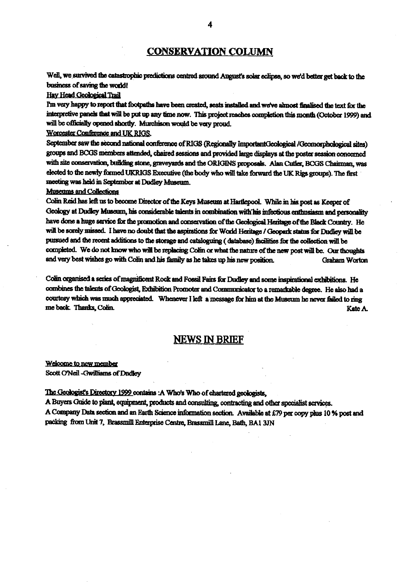### CONSERVATION COLUMN

Well, we survived the catastrophic predictions centred around August's solar eclipse, so we'd better get back to the business of saving the world!

#### **Hav Head Geological Trail**

I'm very happy to report that footpaths have been created, seats installed and we've almost finalised the text for the interpretive panels that will be put up any time now. This project reaches completion this month (October 1999) and will be officially opened shortly. Murchison would be very proud.

Worcester Conference and UK RIGS.

September saw the second national conference of RIGS (Regionally ImportantGeological /Geomorphological sites) groups and BCGS members attended, chaired sessions and provided large displays at the poster session concerned with site conservation, building stone, graveyards and the ORIGINS proposals. Alan Cutler, BCGS Chairman, was elected to the newly fonned **UK RIGS Executive** (the body who **will** take forward the UK Rigs groups). The first meeting was held in September at Dudley **Museum.**

#### Museums and Collections

Colin Reid has left us to become Director of the Keys Museum at Hartlepool. While in his post as Keeper of Geology at Dudley Museum, his considerable talents in combination with his infectious enthusiasm and personality have done a huge service for the promotion and conservation of the Geological Heritage of the Black Country. He will be sorely missed. I have no doubt that the aspirations for World Heritage / Geopark status for Dudley will be pursued and the recent additions to the storage and cataloguing ( database) facilities for the collection will be completed. We do not know who will be replacing Colin or what the nature of the new post will be. Our thoughts and very best wishes go with Colin and his family as he takes up his new position. Graham Worton

Colin organised a series of magnificent Rock and Fossil Fairs for Dudley and some inspirational exhibitions. He combines the talents of Geologist, Exhibition Promoter and Communicator to a remarkable degree. He also had a courtesy which was much appreciated. Whenever I left a message for him at the Museum he never failed to ring me back. Thanks, Colin. **Rate A.** Rate A. Rate A. Rate A. Rate A. Rate A. Rate A. Rate A. Rate A.

### **NEWS IN BRIEF**

Welcome to new member Scott O'Neil - Gwilliams of Dudley

The Geologist's Directory 1999 contains: A Who's Who of chartered geologists,

A Buyers Guide to plant, equipment, products and consulting, contracting and other specialist services.

A Company Data section and an Earth Science information section. Available at £79 per copy plus 10 % post and<br>residence in the Care of the Care of the Care of the Care of the Care of the Care of the Care of the Care of t packing from Unit 7, Brassmill Enterprise Centre, Brassmill Lane, Bath, BAI 3JN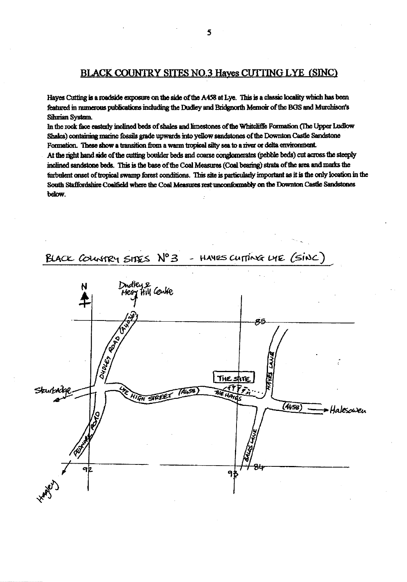### **BLACK COUNTRY SITES NO.3 Haves CUTTING LYE (SINC)**

**Hayes Cutting is a roadside exposure on the side of the A458 at Lye. This is a classic locality which has been** featured in numerous publications including the Dudley and Bridgnorth Memoir of the BGS and Murchison's Sihman System.

In the rock face easterly inclined beds of shales and limestones of the Whitcliffe Formation (The Upper Ludlow **Shales) containing maiine fossils grade upwards into yellow sandstones of the Dowmtm** *Cam* **Sandstone** Formation. These show a transition from a warm tropical silty sea to a river or delta environment. At the right hand side of the cutting boulder beds and coarse conglomerates (pebble beds) cut across the steeply **inclined sandstone beds. This is the base of the Coal Measures (Coal bearing) strata of the area and marks** *the* **tinbulent onset of tropical swamp forest conditions. This site is particularly important as it is the only location in he** South Staffordshire Coalfield where the Coal Measures rest unconformably on the Downton Castle Sandstones **below.**



5